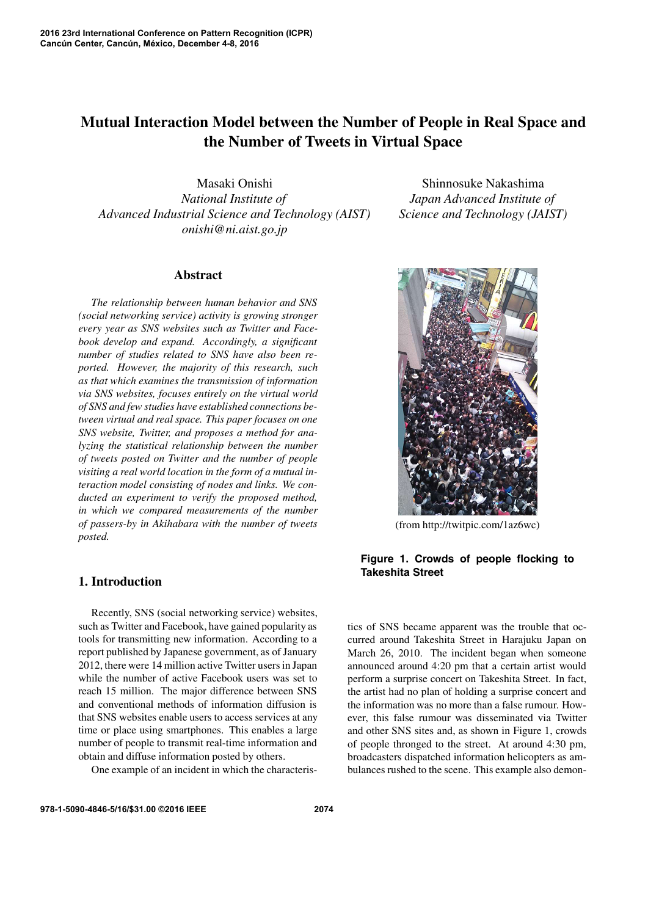# **Mutual Interaction Model between the Number of People in Real Space and the Number of Tweets in Virtual Space**

Masaki Onishi *National Institute of Advanced Industrial Science and Technology (AIST) onishi@ni.aist.go.jp*

Shinnosuke Nakashima *Japan Advanced Institute of Science and Technology (JAIST)*

### **Abstract**

*The relationship between human behavior and SNS (social networking service) activity is growing stronger every year as SNS websites such as Twitter and Facebook develop and expand. Accordingly, a significant number of studies related to SNS have also been reported. However, the majority of this research, such as that which examines the transmission of information via SNS websites, focuses entirely on the virtual world of SNS and few studies have established connections between virtual and real space. This paper focuses on one SNS website, Twitter, and proposes a method for analyzing the statistical relationship between the number of tweets posted on Twitter and the number of people visiting a real world location in the form of a mutual interaction model consisting of nodes and links. We conducted an experiment to verify the proposed method, in which we compared measurements of the number of passers-by in Akihabara with the number of tweets posted.*

# **1. Introduction**

Recently, SNS (social networking service) websites, such as Twitter and Facebook, have gained popularity as tools for transmitting new information. According to a report published by Japanese government, as of January 2012, there were 14 million active Twitter users in Japan while the number of active Facebook users was set to reach 15 million. The major difference between SNS and conventional methods of information diffusion is that SNS websites enable users to access services at any time or place using smartphones. This enables a large number of people to transmit real-time information and obtain and diffuse information posted by others.

One example of an incident in which the characteris-

(from http://twitpic.com/1az6wc)

# **Figure 1. Crowds of people flocking to Takeshita Street**

tics of SNS became apparent was the trouble that occurred around Takeshita Street in Harajuku Japan on March 26, 2010. The incident began when someone announced around 4:20 pm that a certain artist would perform a surprise concert on Takeshita Street. In fact, the artist had no plan of holding a surprise concert and the information was no more than a false rumour. However, this false rumour was disseminated via Twitter and other SNS sites and, as shown in Figure 1, crowds of people thronged to the street. At around 4:30 pm, broadcasters dispatched information helicopters as ambulances rushed to the scene. This example also demon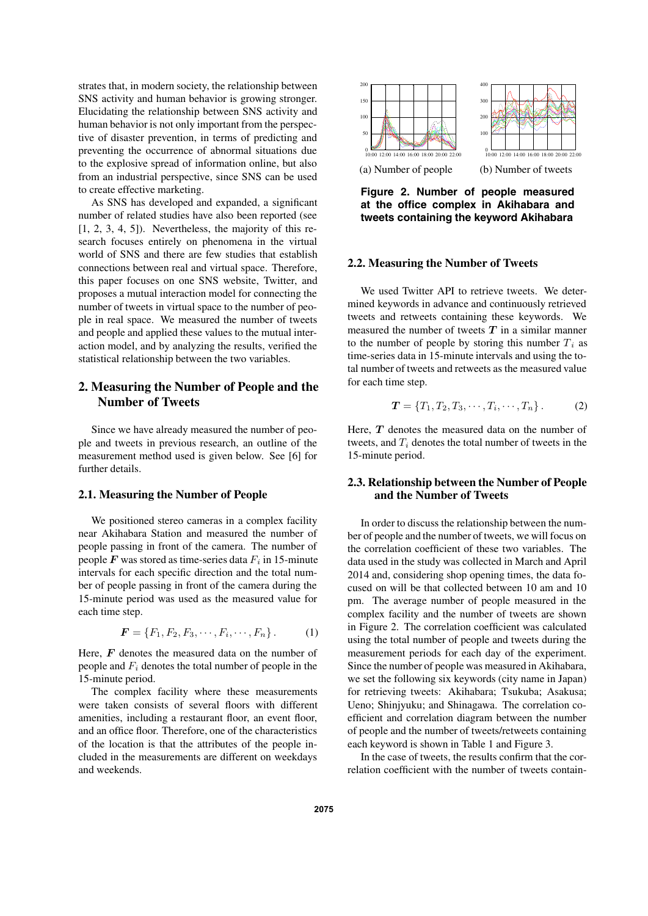strates that, in modern society, the relationship between SNS activity and human behavior is growing stronger. Elucidating the relationship between SNS activity and human behavior is not only important from the perspective of disaster prevention, in terms of predicting and preventing the occurrence of abnormal situations due to the explosive spread of information online, but also from an industrial perspective, since SNS can be used to create effective marketing.

As SNS has developed and expanded, a significant number of related studies have also been reported (see  $[1, 2, 3, 4, 5]$ . Nevertheless, the majority of this research focuses entirely on phenomena in the virtual world of SNS and there are few studies that establish connections between real and virtual space. Therefore, this paper focuses on one SNS website, Twitter, and proposes a mutual interaction model for connecting the number of tweets in virtual space to the number of people in real space. We measured the number of tweets and people and applied these values to the mutual interaction model, and by analyzing the results, verified the statistical relationship between the two variables.

# **2. Measuring the Number of People and the Number of Tweets**

Since we have already measured the number of people and tweets in previous research, an outline of the measurement method used is given below. See [6] for further details.

#### **2.1. Measuring the Number of People**

We positioned stereo cameras in a complex facility near Akihabara Station and measured the number of people passing in front of the camera. The number of people  $F$  was stored as time-series data  $F_i$  in 15-minute intervals for each specific direction and the total number of people passing in front of the camera during the 15-minute period was used as the measured value for each time step.

$$
\mathbf{F} = \{F_1, F_2, F_3, \cdots, F_i, \cdots, F_n\}.
$$
 (1)

Here, F denotes the measured data on the number of people and F*<sup>i</sup>* denotes the total number of people in the 15-minute period.

The complex facility where these measurements were taken consists of several floors with different amenities, including a restaurant floor, an event floor, and an office floor. Therefore, one of the characteristics of the location is that the attributes of the people included in the measurements are different on weekdays and weekends.



**Figure 2. Number of people measured at the office complex in Akihabara and tweets containing the keyword Akihabara**

#### **2.2. Measuring the Number of Tweets**

We used Twitter API to retrieve tweets. We determined keywords in advance and continuously retrieved tweets and retweets containing these keywords. We measured the number of tweets *T* in a similar manner to the number of people by storing this number  $T_i$  as time-series data in 15-minute intervals and using the total number of tweets and retweets as the measured value for each time step.

$$
T = \{T_1, T_2, T_3, \cdots, T_i, \cdots, T_n\}.
$$
 (2)

Here, *T* denotes the measured data on the number of tweets, and T*<sup>i</sup>* denotes the total number of tweets in the 15-minute period.

## **2.3. Relationship between the Number of People and the Number of Tweets**

In order to discuss the relationship between the number of people and the number of tweets, we will focus on the correlation coefficient of these two variables. The data used in the study was collected in March and April 2014 and, considering shop opening times, the data focused on will be that collected between 10 am and 10 pm. The average number of people measured in the complex facility and the number of tweets are shown in Figure 2. The correlation coefficient was calculated using the total number of people and tweets during the measurement periods for each day of the experiment. Since the number of people was measured in Akihabara, we set the following six keywords (city name in Japan) for retrieving tweets: Akihabara; Tsukuba; Asakusa; Ueno; Shinjyuku; and Shinagawa. The correlation coefficient and correlation diagram between the number of people and the number of tweets/retweets containing each keyword is shown in Table 1 and Figure 3.

In the case of tweets, the results confirm that the correlation coefficient with the number of tweets contain-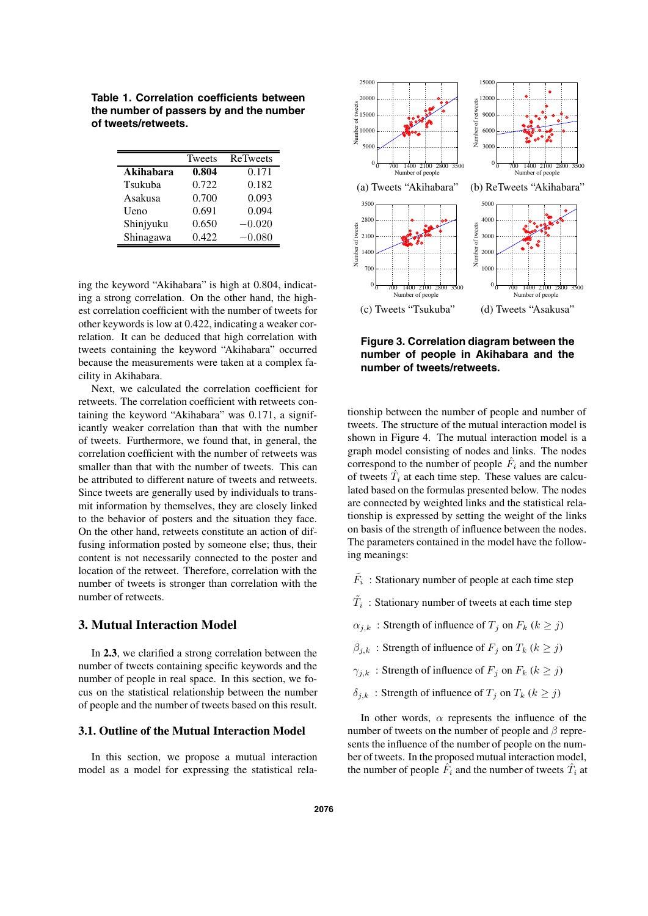**Table 1. Correlation coefficients between the number of passers by and the number of tweets/retweets.**

|           | <b>Tweets</b> | ReTweets |
|-----------|---------------|----------|
| Akihabara | 0.804         | 0.171    |
| Tsukuba   | 0.722         | 0.182    |
| Asakusa   | 0.700         | 0.093    |
| Ueno      | 0.691         | 0.094    |
| Shinjyuku | 0.650         | $-0.020$ |
| Shinagawa | 0.422         | $-0.080$ |

ing the keyword "Akihabara" is high at 0.804, indicating a strong correlation. On the other hand, the highest correlation coefficient with the number of tweets for other keywords is low at 0.422, indicating a weaker correlation. It can be deduced that high correlation with tweets containing the keyword "Akihabara" occurred because the measurements were taken at a complex facility in Akihabara.

Next, we calculated the correlation coefficient for retweets. The correlation coefficient with retweets containing the keyword "Akihabara" was 0.171, a significantly weaker correlation than that with the number of tweets. Furthermore, we found that, in general, the correlation coefficient with the number of retweets was smaller than that with the number of tweets. This can be attributed to different nature of tweets and retweets. Since tweets are generally used by individuals to transmit information by themselves, they are closely linked to the behavior of posters and the situation they face. On the other hand, retweets constitute an action of diffusing information posted by someone else; thus, their content is not necessarily connected to the poster and location of the retweet. Therefore, correlation with the number of tweets is stronger than correlation with the number of retweets.

## **3. Mutual Interaction Model**

In **2.3**, we clarified a strong correlation between the number of tweets containing specific keywords and the number of people in real space. In this section, we focus on the statistical relationship between the number of people and the number of tweets based on this result.

## **3.1. Outline of the Mutual Interaction Model**

In this section, we propose a mutual interaction model as a model for expressing the statistical rela-



**Figure 3. Correlation diagram between the number of people in Akihabara and the number of tweets/retweets.**

tionship between the number of people and number of tweets. The structure of the mutual interaction model is shown in Figure 4. The mutual interaction model is a graph model consisting of nodes and links. The nodes correspond to the number of people  $\hat{F}_i$  and the number of tweets  $\hat{T}_i$  at each time step. These values are calculated based on the formulas presented below. The nodes are connected by weighted links and the statistical relationship is expressed by setting the weight of the links on basis of the strength of influence between the nodes. The parameters contained in the model have the following meanings:

- $\tilde{F}_i$ : Stationary number of people at each time step
- $\tilde{T}_i$ : Stationary number of tweets at each time step
- $\alpha_{i,k}$ : Strength of influence of  $T_i$  on  $F_k$  ( $k \geq j$ )
- $\beta_{j,k}$ : Strength of influence of  $F_j$  on  $T_k$  ( $k \geq j$ )
- $\gamma_{i,k}$ : Strength of influence of  $F_j$  on  $F_k$  ( $k \geq j$ )
- $\delta_{j,k}$ : Strength of influence of  $T_j$  on  $T_k$  ( $k \geq j$ )

In other words,  $\alpha$  represents the influence of the number of tweets on the number of people and  $\beta$  represents the influence of the number of people on the number of tweets. In the proposed mutual interaction model, the number of people  $\hat{F}_i$  and the number of tweets  $\hat{T}_i$  at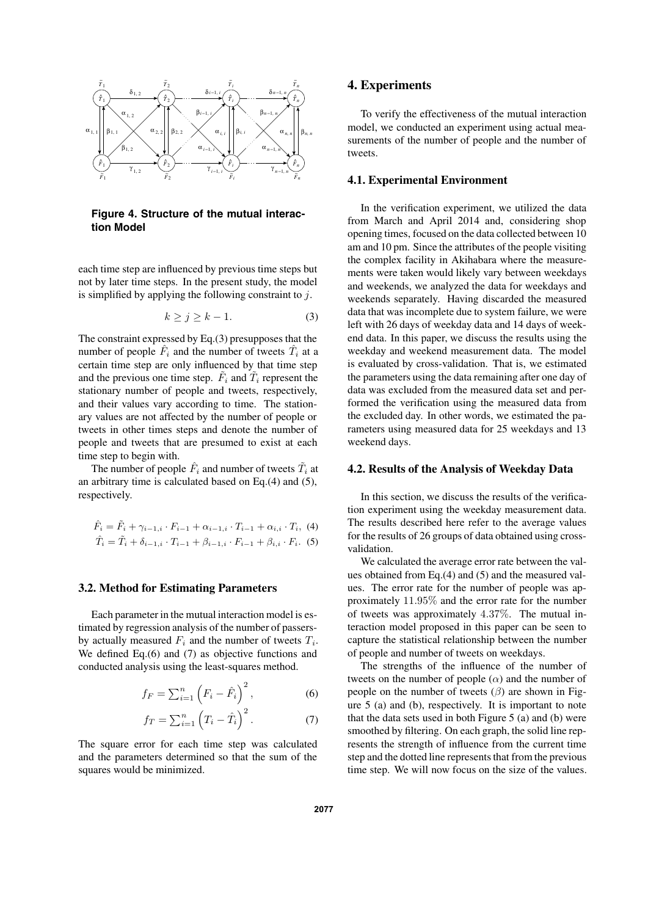

**Figure 4. Structure of the mutual interaction Model**

each time step are influenced by previous time steps but not by later time steps. In the present study, the model is simplified by applying the following constraint to  $j$ .

$$
k \ge j \ge k - 1. \tag{3}
$$

The constraint expressed by Eq.(3) presupposes that the number of people  $\hat{F}_i$  and the number of tweets  $\hat{T}_i$  at a certain time step are only influenced by that time step and the previous one time step.  $F_i$  and  $T_i$  represent the stationary number of people and tweets, respectively, and their values vary according to time. The stationary values are not affected by the number of people or tweets in other times steps and denote the number of people and tweets that are presumed to exist at each time step to begin with.

The number of people  $\hat{F}_i$  and number of tweets  $\tilde{T}_i$  at an arbitrary time is calculated based on Eq.(4) and (5), respectively.

$$
\hat{F}_i = \tilde{F}_i + \gamma_{i-1,i} \cdot F_{i-1} + \alpha_{i-1,i} \cdot T_{i-1} + \alpha_{i,i} \cdot T_i, \tag{4}
$$
\n
$$
\hat{T}_i = \tilde{T}_i + \delta_{i-1,i} \cdot T_{i-1} + \beta_{i-1,i} \cdot F_{i-1} + \beta_{i,i} \cdot F_i. \tag{5}
$$

#### **3.2. Method for Estimating Parameters**

Each parameter in the mutual interaction model is estimated by regression analysis of the number of passersby actually measured F*<sup>i</sup>* and the number of tweets T*i*. We defined Eq.(6) and (7) as objective functions and conducted analysis using the least-squares method.

$$
f_F = \sum_{i=1}^n \left( F_i - \hat{F}_i \right)^2, \tag{6}
$$

$$
f_T = \sum_{i=1}^n \left( T_i - \hat{T}_i \right)^2.
$$
 (7)

The square error for each time step was calculated and the parameters determined so that the sum of the squares would be minimized.

#### **4. Experiments**

To verify the effectiveness of the mutual interaction model, we conducted an experiment using actual measurements of the number of people and the number of tweets.

#### **4.1. Experimental Environment**

In the verification experiment, we utilized the data from March and April 2014 and, considering shop opening times, focused on the data collected between 10 am and 10 pm. Since the attributes of the people visiting the complex facility in Akihabara where the measurements were taken would likely vary between weekdays and weekends, we analyzed the data for weekdays and weekends separately. Having discarded the measured data that was incomplete due to system failure, we were left with 26 days of weekday data and 14 days of weekend data. In this paper, we discuss the results using the weekday and weekend measurement data. The model is evaluated by cross-validation. That is, we estimated the parameters using the data remaining after one day of data was excluded from the measured data set and performed the verification using the measured data from the excluded day. In other words, we estimated the parameters using measured data for 25 weekdays and 13 weekend days.

### **4.2. Results of the Analysis of Weekday Data**

In this section, we discuss the results of the verification experiment using the weekday measurement data. The results described here refer to the average values for the results of 26 groups of data obtained using crossvalidation.

We calculated the average error rate between the values obtained from Eq.(4) and (5) and the measured values. The error rate for the number of people was approximately 11.95% and the error rate for the number of tweets was approximately 4.37%. The mutual interaction model proposed in this paper can be seen to capture the statistical relationship between the number of people and number of tweets on weekdays.

The strengths of the influence of the number of tweets on the number of people  $(\alpha)$  and the number of people on the number of tweets  $(\beta)$  are shown in Figure 5 (a) and (b), respectively. It is important to note that the data sets used in both Figure 5 (a) and (b) were smoothed by filtering. On each graph, the solid line represents the strength of influence from the current time step and the dotted line represents that from the previous time step. We will now focus on the size of the values.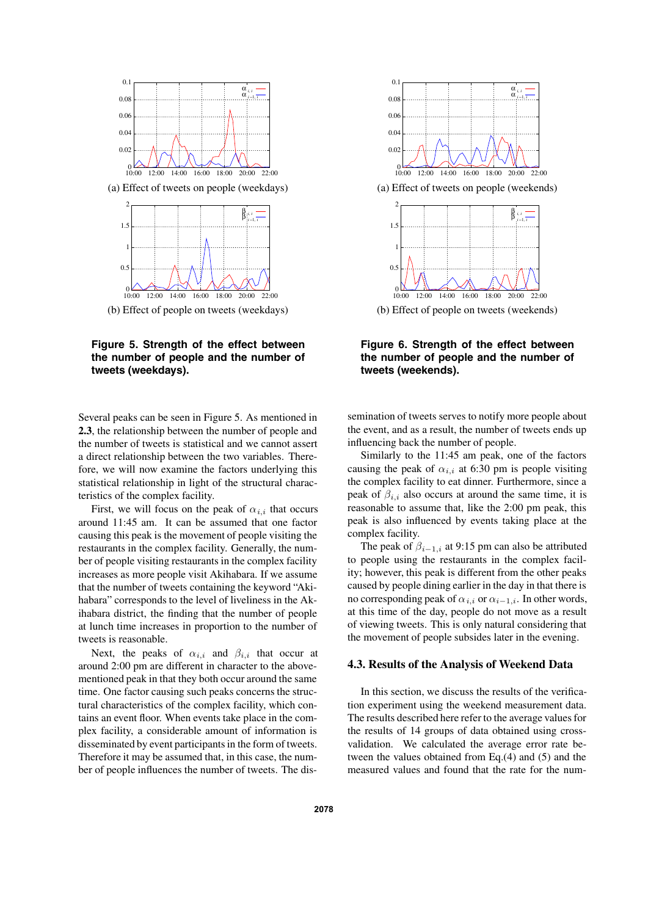

(a) Effect of tweets on people (weekdays)



**Figure 5. Strength of the effect between the number of people and the number of tweets (weekdays).**

Several peaks can be seen in Figure 5. As mentioned in **2.3**, the relationship between the number of people and the number of tweets is statistical and we cannot assert a direct relationship between the two variables. Therefore, we will now examine the factors underlying this statistical relationship in light of the structural characteristics of the complex facility.

First, we will focus on the peak of  $\alpha_{i,i}$  that occurs around 11:45 am. It can be assumed that one factor causing this peak is the movement of people visiting the restaurants in the complex facility. Generally, the number of people visiting restaurants in the complex facility increases as more people visit Akihabara. If we assume that the number of tweets containing the keyword "Akihabara" corresponds to the level of liveliness in the Akihabara district, the finding that the number of people at lunch time increases in proportion to the number of tweets is reasonable.

Next, the peaks of  $\alpha_{i,i}$  and  $\beta_{i,i}$  that occur at around 2:00 pm are different in character to the abovementioned peak in that they both occur around the same time. One factor causing such peaks concerns the structural characteristics of the complex facility, which contains an event floor. When events take place in the complex facility, a considerable amount of information is disseminated by event participants in the form of tweets. Therefore it may be assumed that, in this case, the number of people influences the number of tweets. The dis-



 $10:00$ 10:00 12:00 14:00 16:00 18:00 20:00 22:00 (b) Effect of people on tweets (weekends)

**Figure 6. Strength of the effect between the number of people and the number of tweets (weekends).**

semination of tweets serves to notify more people about the event, and as a result, the number of tweets ends up influencing back the number of people.

Similarly to the 11:45 am peak, one of the factors causing the peak of  $\alpha_{i,i}$  at 6:30 pm is people visiting the complex facility to eat dinner. Furthermore, since a peak of  $\beta_{i,i}$  also occurs at around the same time, it is reasonable to assume that, like the 2:00 pm peak, this peak is also influenced by events taking place at the complex facility.

The peak of  $\beta_{i-1,i}$  at 9:15 pm can also be attributed to people using the restaurants in the complex facility; however, this peak is different from the other peaks caused by people dining earlier in the day in that there is no corresponding peak of  $\alpha_{i,i}$  or  $\alpha_{i-1,i}$ . In other words, at this time of the day, people do not move as a result of viewing tweets. This is only natural considering that the movement of people subsides later in the evening.

#### **4.3. Results of the Analysis of Weekend Data**

In this section, we discuss the results of the verification experiment using the weekend measurement data. The results described here refer to the average values for the results of 14 groups of data obtained using crossvalidation. We calculated the average error rate between the values obtained from Eq.(4) and (5) and the measured values and found that the rate for the num